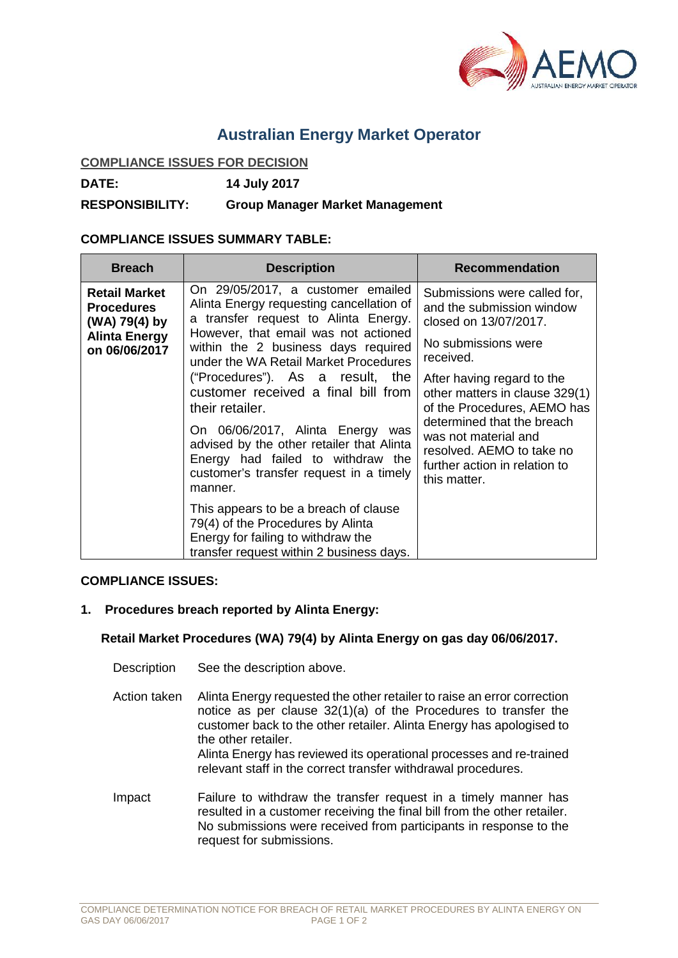

# **Australian Energy Market Operator**

### **COMPLIANCE ISSUES FOR DECISION**

**DATE: 14 July 2017**

## **RESPONSIBILITY: Group Manager Market Management**

## **COMPLIANCE ISSUES SUMMARY TABLE:**

| <b>Breach</b>                                                                                       | <b>Description</b>                                                                                                                                                                                                                                                                                                                                                                                                                                                                                                      | <b>Recommendation</b>                                                                                                                                                                                                                                                                                                                                     |
|-----------------------------------------------------------------------------------------------------|-------------------------------------------------------------------------------------------------------------------------------------------------------------------------------------------------------------------------------------------------------------------------------------------------------------------------------------------------------------------------------------------------------------------------------------------------------------------------------------------------------------------------|-----------------------------------------------------------------------------------------------------------------------------------------------------------------------------------------------------------------------------------------------------------------------------------------------------------------------------------------------------------|
| <b>Retail Market</b><br><b>Procedures</b><br>(WA) 79(4) by<br><b>Alinta Energy</b><br>on 06/06/2017 | On 29/05/2017, a customer emailed<br>Alinta Energy requesting cancellation of<br>a transfer request to Alinta Energy.<br>However, that email was not actioned<br>within the 2 business days required<br>under the WA Retail Market Procedures<br>("Procedures"). As a result, the<br>customer received a final bill from<br>their retailer.<br>On 06/06/2017, Alinta Energy was<br>advised by the other retailer that Alinta<br>Energy had failed to withdraw the<br>customer's transfer request in a timely<br>manner. | Submissions were called for,<br>and the submission window<br>closed on 13/07/2017.<br>No submissions were<br>received.<br>After having regard to the<br>other matters in clause 329(1)<br>of the Procedures, AEMO has<br>determined that the breach<br>was not material and<br>resolved. AEMO to take no<br>further action in relation to<br>this matter. |
|                                                                                                     | This appears to be a breach of clause<br>79(4) of the Procedures by Alinta<br>Energy for failing to withdraw the<br>transfer request within 2 business days.                                                                                                                                                                                                                                                                                                                                                            |                                                                                                                                                                                                                                                                                                                                                           |

#### **COMPLIANCE ISSUES:**

## **1. Procedures breach reported by Alinta Energy:**

#### **Retail Market Procedures (WA) 79(4) by Alinta Energy on gas day 06/06/2017.**

- Description See the description above.
- Action taken Alinta Energy requested the other retailer to raise an error correction notice as per clause 32(1)(a) of the Procedures to transfer the customer back to the other retailer. Alinta Energy has apologised to the other retailer. Alinta Energy has reviewed its operational processes and re-trained relevant staff in the correct transfer withdrawal procedures.
- Impact Failure to withdraw the transfer request in a timely manner has resulted in a customer receiving the final bill from the other retailer. No submissions were received from participants in response to the request for submissions.